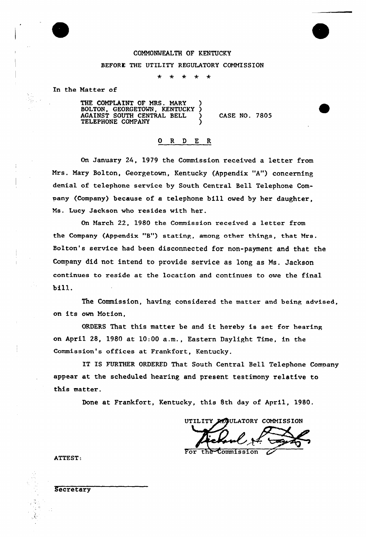

## COMM0%lEALTH OF KENTUCKY

## BEFORE. THE UTILITY REGULATORY COMMISSION

÷  $\ddot{\textbf{r}}$ 

In the Natter of

THE COMPLAINT OF MRS. MARY ) BOLTON, GEORGETOWN, KENTUCKY ) AGAINST SOUTH CENTRAL BELL  $\sum_{n=1}^{\infty}$ TELEPHONE COMPANY (1998)

CASE NO. 7805

## 0 R <sup>D</sup> E R

On January 24, 1979 the Commission received a letter from Mrs. Nary Bolton, Georgetown, Kentucky (Appendix "A") concerning denial of telephone service by South Central Bell Telephone Company (Company) because of a telephone bill owed by her daughter, Ms. Lucy Jackson who resides with her.

On March 22, 1980 the Commission received a letter from the Company (Appendix "B") stating, among other things, that Mrs. Bolton's service had been disconnected for non-payment and that the Company did not intend to provide service as long as Ns. Jackson continues to reside at the location and continues to owe the final bill.

The Commission, having considered the matter and being advised, on its own Notion,

ORDERS That this matter be and it hereby is set for hearing on April 28, 1980 at 10:00 a.m., Eastern Daylight Time, in the Commission's offices at Frankfort, Kentucky.

IT IS FURTHER ORDERFD That South Central Bell Telephone Company appear at the scheduled hearing and present testimony relative to this matter.

Done at Frankfort, Kentucky, this 8th day of April, 1980.

UTILITY REGULATORY COMMISSION

For the Commission

ATTEST:

**Secretary**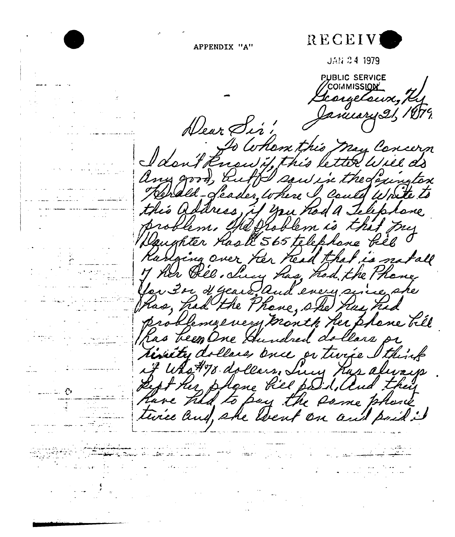

APPENDIX "A"

JAN 24 1979

PUBLIC SERVICE COMMISSION \_ Scongetaux, R

Dear Sir! I don't know this may Concern any good, auth saw in the Loungton renald- feader where I could write to this address, if you had a Telephone problem. Stephoblem is that Juy Daughter Haste 565 telephone Pill 0 Ranging over her head that is not all My her Bel. Sucy has, had the Phane far 3 or d'Geard And every since she problemy every month her plane bill has been One Gundred dollars or timity dollars once or twice I think if Was #78 dollars, Lucy Hus always Rept the phane fill paid, and they have had to pay the same phane

twice and, she went on and poil!

فكالمحارب المرادات

and the Second State of the Company of the Second State of the Second State of the Second State of the Second

 $\sim$  range  $\sigma$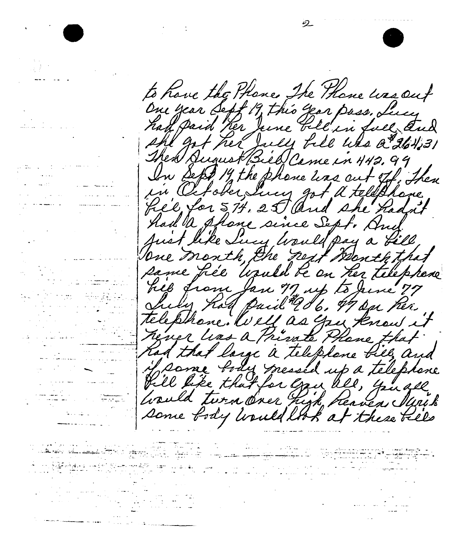

 $\mathcal{L}_{\text{max}}$  and  $\mathcal{L}_{\text{max}}$  .

بالوطا برازو المناد المتحدة طوأن المنح

 $\label{eq:2.1} \frac{1}{\sqrt{2}}\left(\frac{1}{\sqrt{2}}\right)^{2} \left(\frac{1}{\sqrt{2}}\right)^{2} \left(\frac{1}{\sqrt{2}}\right)^{2} \left(\frac{1}{\sqrt{2}}\right)^{2} \left(\frac{1}{\sqrt{2}}\right)^{2} \left(\frac{1}{\sqrt{2}}\right)^{2} \left(\frac{1}{\sqrt{2}}\right)^{2} \left(\frac{1}{\sqrt{2}}\right)^{2} \left(\frac{1}{\sqrt{2}}\right)^{2} \left(\frac{1}{\sqrt{2}}\right)^{2} \left(\frac{1}{\sqrt{2}}\right)^{2} \left(\$ المن المتحدة الشهرة.<br>المن المتحدة الشهرة المناسبة المناسبة العالم المناسبة المناسبة

والمستوات والمتقدمة والمراد

to have the Phone The Thome was out One year Sept 19, this year pass, Lucy had paid her June bell in full and she got her July file who a 264,31 Then August Biel Came in 442.99 In Sept. 19 the phone was out tof, then in October, Jucy got a tellphone "Lie for 574, 25 And she hadn't Anst like Sucy Would pay a fill, One month, the next month that same fice "Usuld be on her telephone" hill from Jan 77 up to June 77 telephone. Well as you know it never leas a Private Phane that had that large a telephone bies, and Marne body messed up a telephone Vill like that for gan all, you all hould turn over high heaven Mais some fody would look at these bells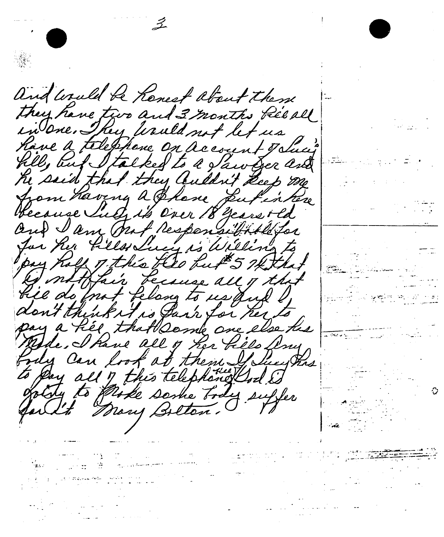and would be Kenest about theme they have two and 3 months Reeall in one. They teauld not let us Rave a telephone on account oblig hill, but I talked to a faw fer and he said that they Culdrit Leep me from having a Bhase Sufin here blecause Such it's Over 18 years old and I am Ant responsibilites for her files Lucy is Willing to pay hold of this the fut 5 7kthat A mitther because all of that Lie do mot felang to us quil don't think it is fark for her to pay a hée that Deme are else his try can look at them I licent to Day all 7 this telephonolIsd I

an Maria (1995)<br>1992 - Johann Barnett, politik fizikar<br>1992 - Johann Barnett, politik fizikar